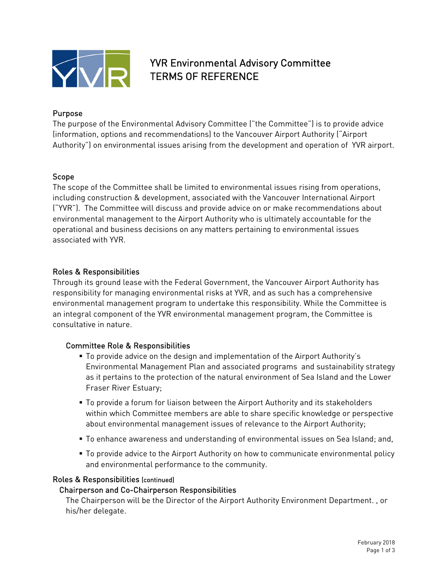

# YVR Environmental Advisory Committee TERMS OF REFERENCE

## Purpose

The purpose of the Environmental Advisory Committee ("the Committee") is to provide advice (information, options and recommendations) to the Vancouver Airport Authority ("Airport Authority") on environmental issues arising from the development and operation of YVR airport.

## Scope

The scope of the Committee shall be limited to environmental issues rising from operations, including construction & development, associated with the Vancouver International Airport ("YVR"). The Committee will discuss and provide advice on or make recommendations about environmental management to the Airport Authority who is ultimately accountable for the operational and business decisions on any matters pertaining to environmental issues associated with YVR.

#### Roles & Responsibilities

Through its ground lease with the Federal Government, the Vancouver Airport Authority has responsibility for managing environmental risks at YVR, and as such has a comprehensive environmental management program to undertake this responsibility. While the Committee is an integral component of the YVR environmental management program, the Committee is consultative in nature.

## Committee Role & Responsibilities

- To provide advice on the design and implementation of the Airport Authority's Environmental Management Plan and associated programs and sustainability strategy as it pertains to the protection of the natural environment of Sea Island and the Lower Fraser River Estuary;
- To provide a forum for liaison between the Airport Authority and its stakeholders within which Committee members are able to share specific knowledge or perspective about environmental management issues of relevance to the Airport Authority;
- To enhance awareness and understanding of environmental issues on Sea Island; and,
- To provide advice to the Airport Authority on how to communicate environmental policy and environmental performance to the community.

#### Roles & Responsibilities (continued)

#### Chairperson and Co-Chairperson Responsibilities

The Chairperson will be the Director of the Airport Authority Environment Department. , or his/her delegate.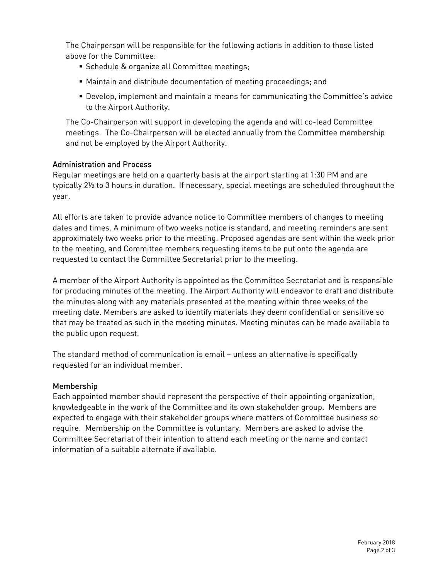The Chairperson will be responsible for the following actions in addition to those listed above for the Committee:

- **Schedule & organize all Committee meetings;**
- Maintain and distribute documentation of meeting proceedings; and
- Develop, implement and maintain a means for communicating the Committee's advice to the Airport Authority.

The Co-Chairperson will support in developing the agenda and will co-lead Committee meetings. The Co-Chairperson will be elected annually from the Committee membership and not be employed by the Airport Authority.

## Administration and Process

Regular meetings are held on a quarterly basis at the airport starting at 1:30 PM and are typically 2½ to 3 hours in duration. If necessary, special meetings are scheduled throughout the year.

All efforts are taken to provide advance notice to Committee members of changes to meeting dates and times. A minimum of two weeks notice is standard, and meeting reminders are sent approximately two weeks prior to the meeting. Proposed agendas are sent within the week prior to the meeting, and Committee members requesting items to be put onto the agenda are requested to contact the Committee Secretariat prior to the meeting.

A member of the Airport Authority is appointed as the Committee Secretariat and is responsible for producing minutes of the meeting. The Airport Authority will endeavor to draft and distribute the minutes along with any materials presented at the meeting within three weeks of the meeting date. Members are asked to identify materials they deem confidential or sensitive so that may be treated as such in the meeting minutes. Meeting minutes can be made available to the public upon request.

The standard method of communication is email – unless an alternative is specifically requested for an individual member.

## Membership

Each appointed member should represent the perspective of their appointing organization, knowledgeable in the work of the Committee and its own stakeholder group. Members are expected to engage with their stakeholder groups where matters of Committee business so require. Membership on the Committee is voluntary. Members are asked to advise the Committee Secretariat of their intention to attend each meeting or the name and contact information of a suitable alternate if available.